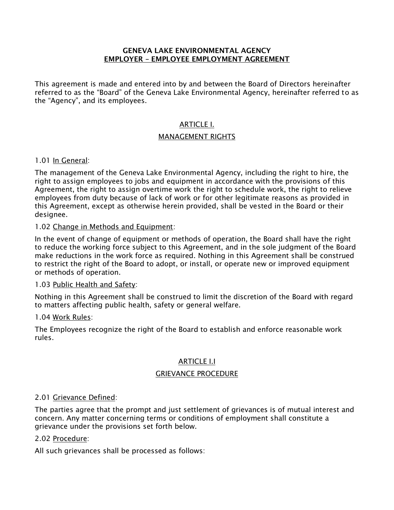#### GENEVA LAKE ENVIRONMENTAL AGENCY EMPLOYER – EMPLOYEE EMPLOYMENT AGREEMENT

This agreement is made and entered into by and between the Board of Directors hereinafter referred to as the "Board" of the Geneva Lake Environmental Agency, hereinafter referred to as the "Agency", and its employees.

# ARTICLE I.

## MANAGEMENT RIGHTS

## 1.01 In General:

The management of the Geneva Lake Environmental Agency, including the right to hire, the right to assign employees to jobs and equipment in accordance with the provisions of this Agreement, the right to assign overtime work the right to schedule work, the right to relieve employees from duty because of lack of work or for other legitimate reasons as provided in this Agreement, except as otherwise herein provided, shall be vested in the Board or their designee.

#### 1.02 Change in Methods and Equipment:

In the event of change of equipment or methods of operation, the Board shall have the right to reduce the working force subject to this Agreement, and in the sole judgment of the Board make reductions in the work force as required. Nothing in this Agreement shall be construed to restrict the right of the Board to adopt, or install, or operate new or improved equipment or methods of operation.

#### 1.03 Public Health and Safety:

Nothing in this Agreement shall be construed to limit the discretion of the Board with regard to matters affecting public health, safety or general welfare.

#### 1.04 Work Rules:

The Employees recognize the right of the Board to establish and enforce reasonable work rules.

#### ARTICLE I.I

#### GRIEVANCE PROCEDURE

#### 2.01 Grievance Defined:

The parties agree that the prompt and just settlement of grievances is of mutual interest and concern. Any matter concerning terms or conditions of employment shall constitute a grievance under the provisions set forth below.

#### 2.02 Procedure:

All such grievances shall be processed as follows: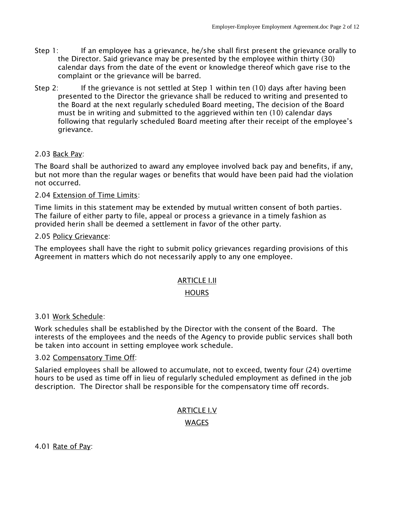- Step 1: If an employee has a grievance, he/she shall first present the grievance orally to the Director. Said grievance may be presented by the employee within thirty (30) calendar days from the date of the event or knowledge thereof which gave rise to the complaint or the grievance will be barred.
- Step 2: If the grievance is not settled at Step 1 within ten (10) days after having been presented to the Director the grievance shall be reduced to writing and presented to the Board at the next regularly scheduled Board meeting, The decision of the Board must be in writing and submitted to the aggrieved within ten (10) calendar days following that regularly scheduled Board meeting after their receipt of the employee's grievance.

## 2.03 Back Pay:

The Board shall be authorized to award any employee involved back pay and benefits, if any, but not more than the regular wages or benefits that would have been paid had the violation not occurred.

#### 2.04 Extension of Time Limits:

Time limits in this statement may be extended by mutual written consent of both parties. The failure of either party to file, appeal or process a grievance in a timely fashion as provided herin shall be deemed a settlement in favor of the other party.

#### 2.05 Policy Grievance:

The employees shall have the right to submit policy grievances regarding provisions of this Agreement in matters which do not necessarily apply to any one employee.

#### ARTICLE I.II

#### **HOURS**

#### 3.01 Work Schedule:

Work schedules shall be established by the Director with the consent of the Board. The interests of the employees and the needs of the Agency to provide public services shall both be taken into account in setting employee work schedule.

#### 3.02 Compensatory Time Off:

Salaried employees shall be allowed to accumulate, not to exceed, twenty four (24) overtime hours to be used as time off in lieu of regularly scheduled employment as defined in the job description. The Director shall be responsible for the compensatory time off records.

# ARTICLE I.V

#### WAGES

4.01 Rate of Pay: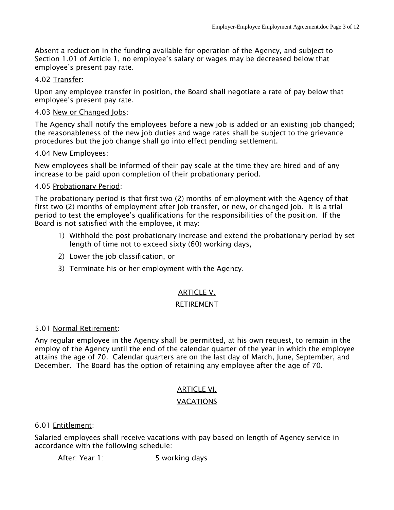Absent a reduction in the funding available for operation of the Agency, and subject to Section 1.01 of Article 1, no employee's salary or wages may be decreased below that employee's present pay rate.

## 4.02 Transfer:

Upon any employee transfer in position, the Board shall negotiate a rate of pay below that employee's present pay rate.

## 4.03 New or Changed Jobs:

The Agency shall notify the employees before a new job is added or an existing job changed; the reasonableness of the new job duties and wage rates shall be subject to the grievance procedures but the job change shall go into effect pending settlement.

## 4.04 New Employees:

New employees shall be informed of their pay scale at the time they are hired and of any increase to be paid upon completion of their probationary period.

## 4.05 Probationary Period:

The probationary period is that first two (2) months of employment with the Agency of that first two (2) months of employment after job transfer, or new, or changed job. It is a trial period to test the employee's qualifications for the responsibilities of the position. If the Board is not satisfied with the employee, it may:

- 1) Withhold the post probationary increase and extend the probationary period by set length of time not to exceed sixty (60) working days,
- 2) Lower the job classification, or
- 3) Terminate his or her employment with the Agency.

# ARTICLE V.

#### RETIREMENT

#### 5.01 Normal Retirement:

Any regular employee in the Agency shall be permitted, at his own request, to remain in the employ of the Agency until the end of the calendar quarter of the year in which the employee attains the age of 70. Calendar quarters are on the last day of March, June, September, and December. The Board has the option of retaining any employee after the age of 70.

# ARTICLE VI.

# VACATIONS

#### 6.01 Entitlement:

Salaried employees shall receive vacations with pay based on length of Agency service in accordance with the following schedule:

After: Year 1: 5 working days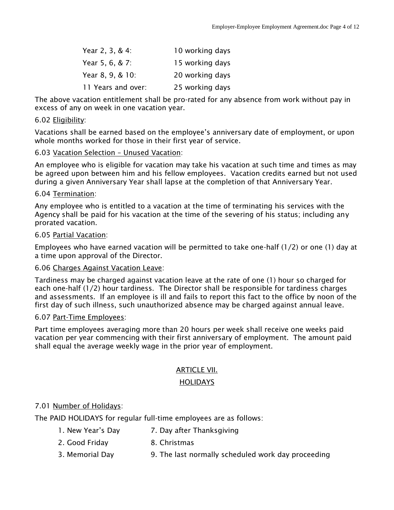| Year 2, 3, & 4:    | 10 working days |
|--------------------|-----------------|
| Year 5, 6, & 7:    | 15 working days |
| Year 8, 9, & 10:   | 20 working days |
| 11 Years and over: | 25 working days |

The above vacation entitlement shall be pro-rated for any absence from work without pay in excess of any on week in one vacation year.

# 6.02 Eligibility:

Vacations shall be earned based on the employee's anniversary date of employment, or upon whole months worked for those in their first year of service.

# 6.03 Vacation Selection – Unused Vacation:

An employee who is eligible for vacation may take his vacation at such time and times as may be agreed upon between him and his fellow employees. Vacation credits earned but not used during a given Anniversary Year shall lapse at the completion of that Anniversary Year.

# 6.04 Termination:

Any employee who is entitled to a vacation at the time of terminating his services with the Agency shall be paid for his vacation at the time of the severing of his status; including any prorated vacation.

# 6.05 Partial Vacation:

Employees who have earned vacation will be permitted to take one-half (1/2) or one (1) day at a time upon approval of the Director.

# 6.06 Charges Against Vacation Leave:

Tardiness may be charged against vacation leave at the rate of one (1) hour so charged for each one-half (1/2) hour tardiness. The Director shall be responsible for tardiness charges and assessments. If an employee is ill and fails to report this fact to the office by noon of the first day of such illness, such unauthorized absence may be charged against annual leave.

# 6.07 Part-Time Employees:

Part time employees averaging more than 20 hours per week shall receive one weeks paid vacation per year commencing with their first anniversary of employment. The amount paid shall equal the average weekly wage in the prior year of employment.

# ARTICLE VII.

# **HOLIDAYS**

# 7.01 Number of Holidays:

The PAID HOLIDAYS for regular full-time employees are as follows:

- 1. New Year's Day 7. Day after Thanksgiving
- 2. Good Friday 8. Christmas
- 3. Memorial Day 9. The last normally scheduled work day proceeding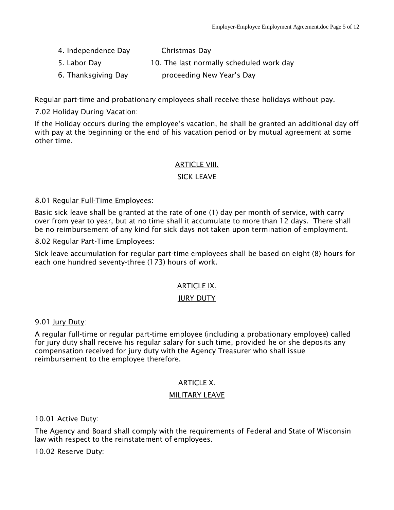- 4. Independence Day Christmas Day
- 5. Labor Day 10. The last normally scheduled work day
- 6. Thanksgiving Day proceeding New Year's Day

Regular part-time and probationary employees shall receive these holidays without pay.

# 7.02 Holiday During Vacation:

If the Holiday occurs during the employee's vacation, he shall be granted an additional day off with pay at the beginning or the end of his vacation period or by mutual agreement at some other time.

## ARTICLE VIII.

# SICK LEAVE

## 8.01 Regular Full-Time Employees:

Basic sick leave shall be granted at the rate of one (1) day per month of service, with carry over from year to year, but at no time shall it accumulate to more than 12 days. There shall be no reimbursement of any kind for sick days not taken upon termination of employment.

## 8.02 Regular Part-Time Employees:

Sick leave accumulation for regular part-time employees shall be based on eight (8) hours for each one hundred seventy-three (173) hours of work.

# ARTICLE IX.

#### JURY DUTY

9.01 Jury Duty:

A regular full-time or regular part-time employee (including a probationary employee) called for jury duty shall receive his regular salary for such time, provided he or she deposits any compensation received for jury duty with the Agency Treasurer who shall issue reimbursement to the employee therefore.

# ARTICLE X.

#### MILITARY LEAVE

10.01 Active Duty:

The Agency and Board shall comply with the requirements of Federal and State of Wisconsin law with respect to the reinstatement of employees.

10.02 Reserve Duty: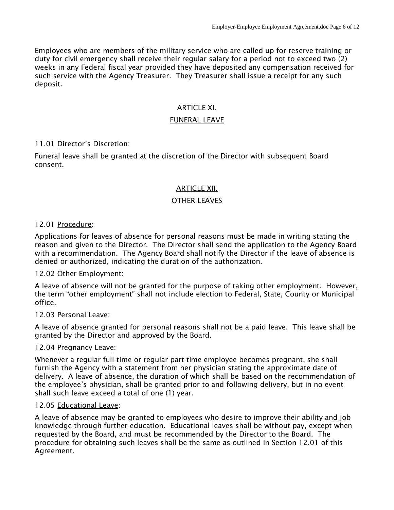Employees who are members of the military service who are called up for reserve training or duty for civil emergency shall receive their regular salary for a period not to exceed two (2) weeks in any Federal fiscal year provided they have deposited any compensation received for such service with the Agency Treasurer. They Treasurer shall issue a receipt for any such deposit.

# ARTICLE XI.

# FUNERAL LEAVE

## 11.01 Director's Discretion:

Funeral leave shall be granted at the discretion of the Director with subsequent Board consent.

## ARTICLE XII.

## OTHER LEAVES

## 12.01 Procedure:

Applications for leaves of absence for personal reasons must be made in writing stating the reason and given to the Director. The Director shall send the application to the Agency Board with a recommendation. The Agency Board shall notify the Director if the leave of absence is denied or authorized, indicating the duration of the authorization.

#### 12.02 Other Employment:

A leave of absence will not be granted for the purpose of taking other employment. However, the term "other employment" shall not include election to Federal, State, County or Municipal office.

#### 12.03 Personal Leave:

A leave of absence granted for personal reasons shall not be a paid leave. This leave shall be granted by the Director and approved by the Board.

#### 12.04 Pregnancy Leave:

Whenever a regular full-time or regular part-time employee becomes pregnant, she shall furnish the Agency with a statement from her physician stating the approximate date of delivery. A leave of absence, the duration of which shall be based on the recommendation of the employee's physician, shall be granted prior to and following delivery, but in no event shall such leave exceed a total of one (1) year.

#### 12.05 Educational Leave:

A leave of absence may be granted to employees who desire to improve their ability and job knowledge through further education. Educational leaves shall be without pay, except when requested by the Board, and must be recommended by the Director to the Board. The procedure for obtaining such leaves shall be the same as outlined in Section 12.01 of this Agreement.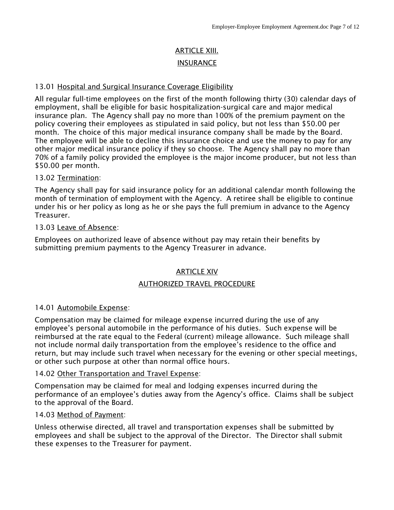# ARTICLE XIII. **INSURANCE**

#### 13.01 Hospital and Surgical Insurance Coverage Eligibility

All regular full-time employees on the first of the month following thirty (30) calendar days of employment, shall be eligible for basic hospitalization-surgical care and major medical insurance plan. The Agency shall pay no more than 100% of the premium payment on the policy covering their employees as stipulated in said policy, but not less than \$50.00 per month. The choice of this major medical insurance company shall be made by the Board. The employee will be able to decline this insurance choice and use the money to pay for any other major medical insurance policy if they so choose. The Agency shall pay no more than 70% of a family policy provided the employee is the major income producer, but not less than \$50.00 per month.

#### 13.02 Termination:

The Agency shall pay for said insurance policy for an additional calendar month following the month of termination of employment with the Agency. A retiree shall be eligible to continue under his or her policy as long as he or she pays the full premium in advance to the Agency Treasurer.

#### 13.03 Leave of Absence:

Employees on authorized leave of absence without pay may retain their benefits by submitting premium payments to the Agency Treasurer in advance.

#### ARTICLE XIV

#### AUTHORIZED TRAVEL PROCEDURE

#### 14.01 Automobile Expense:

Compensation may be claimed for mileage expense incurred during the use of any employee's personal automobile in the performance of his duties. Such expense will be reimbursed at the rate equal to the Federal (current) mileage allowance. Such mileage shall not include normal daily transportation from the employee's residence to the office and return, but may include such travel when necessary for the evening or other special meetings, or other such purpose at other than normal office hours.

#### 14.02 Other Transportation and Travel Expense:

Compensation may be claimed for meal and lodging expenses incurred during the performance of an employee's duties away from the Agency's office. Claims shall be subject to the approval of the Board.

#### 14.03 Method of Payment:

Unless otherwise directed, all travel and transportation expenses shall be submitted by employees and shall be subject to the approval of the Director. The Director shall submit these expenses to the Treasurer for payment.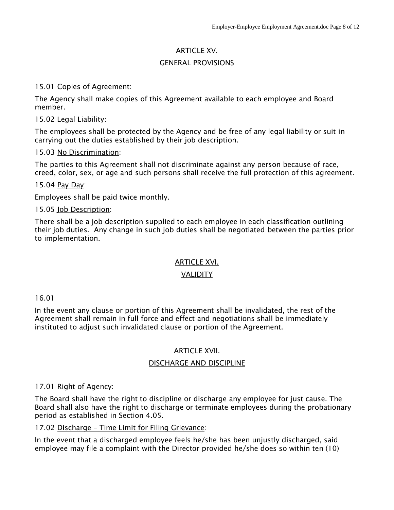# ARTICLE XV.

## GENERAL PROVISIONS

#### 15.01 Copies of Agreement:

The Agency shall make copies of this Agreement available to each employee and Board member.

#### 15.02 Legal Liability:

The employees shall be protected by the Agency and be free of any legal liability or suit in carrying out the duties established by their job description.

## 15.03 No Discrimination:

The parties to this Agreement shall not discriminate against any person because of race, creed, color, sex, or age and such persons shall receive the full protection of this agreement.

15.04 Pay Day:

Employees shall be paid twice monthly.

## 15.05 Job Description:

There shall be a job description supplied to each employee in each classification outlining their job duties. Any change in such job duties shall be negotiated between the parties prior to implementation.

# ARTICLE XVI.

# **VALIDITY**

#### 16.01

In the event any clause or portion of this Agreement shall be invalidated, the rest of the Agreement shall remain in full force and effect and negotiations shall be immediately instituted to adjust such invalidated clause or portion of the Agreement.

#### ARTICLE XVII.

#### DISCHARGE AND DISCIPLINE

#### 17.01 Right of Agency:

The Board shall have the right to discipline or discharge any employee for just cause. The Board shall also have the right to discharge or terminate employees during the probationary period as established in Section 4.05.

# 17.02 Discharge – Time Limit for Filing Grievance:

In the event that a discharged employee feels he/she has been unjustly discharged, said employee may file a complaint with the Director provided he/she does so within ten (10)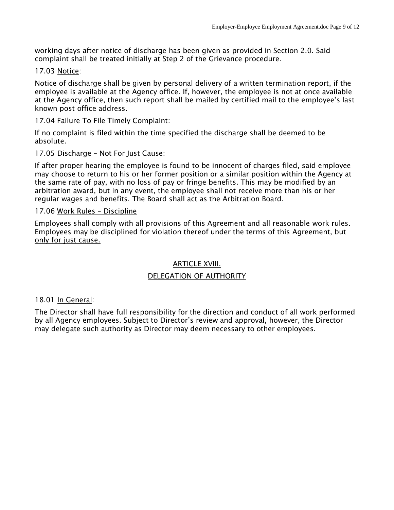working days after notice of discharge has been given as provided in Section 2.0. Said complaint shall be treated initially at Step 2 of the Grievance procedure.

#### 17.03 Notice:

Notice of discharge shall be given by personal delivery of a written termination report, if the employee is available at the Agency office. If, however, the employee is not at once available at the Agency office, then such report shall be mailed by certified mail to the employee's last known post office address.

#### 17.04 Failure To File Timely Complaint:

If no complaint is filed within the time specified the discharge shall be deemed to be absolute.

#### 17.05 Discharge – Not For Just Cause:

If after proper hearing the employee is found to be innocent of charges filed, said employee may choose to return to his or her former position or a similar position within the Agency at the same rate of pay, with no loss of pay or fringe benefits. This may be modified by an arbitration award, but in any event, the employee shall not receive more than his or her regular wages and benefits. The Board shall act as the Arbitration Board.

#### 17.06 Work Rules – Discipline

Employees shall comply with all provisions of this Agreement and all reasonable work rules. Employees may be disciplined for violation thereof under the terms of this Agreement, but only for just cause.

#### ARTICLE XVIII.

#### DELEGATION OF AUTHORITY

#### 18.01 In General:

The Director shall have full responsibility for the direction and conduct of all work performed by all Agency employees. Subject to Director's review and approval, however, the Director may delegate such authority as Director may deem necessary to other employees.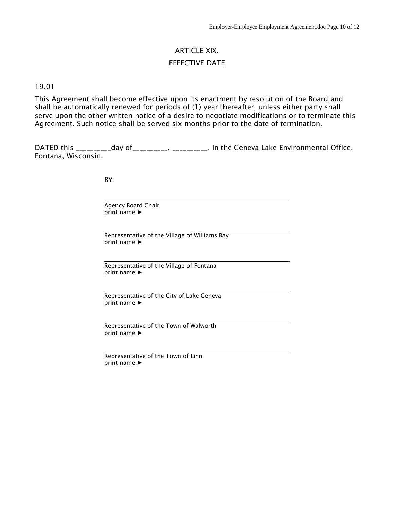# ARTICLE XIX. EFFECTIVE DATE

#### 19.01

This Agreement shall become effective upon its enactment by resolution of the Board and shall be automatically renewed for periods of (1) year thereafter; unless either party shall serve upon the other written notice of a desire to negotiate modifications or to terminate this Agreement. Such notice shall be served six months prior to the date of termination.

DATED this \_\_\_\_\_\_\_\_\_\_\_day of\_\_\_\_\_\_\_\_\_\_, \_\_\_\_\_\_\_\_\_\_, in the Geneva Lake Environmental Office, Fontana, Wisconsin.

BY:

Agency Board Chair print name ►

Representative of the Village of Williams Bay print name ►

Representative of the Village of Fontana print name ►

Representative of the City of Lake Geneva print name ►

Representative of the Town of Walworth print name ►

Representative of the Town of Linn print name ►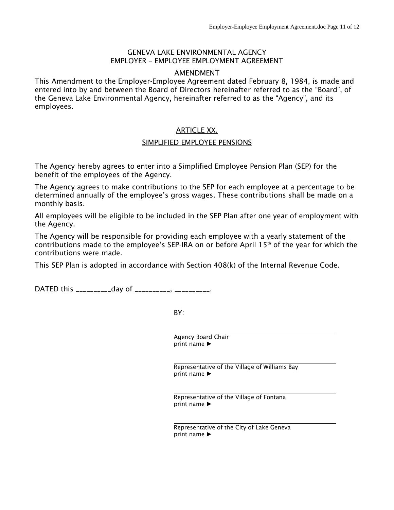#### GENEVA LAKE ENVIRONMENTAL AGENCY EMPLOYER – EMPLOYEE EMPLOYMENT AGREEMENT

#### AMENDMENT

This Amendment to the Employer-Employee Agreement dated February 8, 1984, is made and entered into by and between the Board of Directors hereinafter referred to as the "Board", of the Geneva Lake Environmental Agency, hereinafter referred to as the "Agency", and its employees.

## ARTICLE XX.

#### SIMPLIFIED EMPLOYEE PENSIONS

The Agency hereby agrees to enter into a Simplified Employee Pension Plan (SEP) for the benefit of the employees of the Agency.

The Agency agrees to make contributions to the SEP for each employee at a percentage to be determined annually of the employee's gross wages. These contributions shall be made on a monthly basis.

All employees will be eligible to be included in the SEP Plan after one year of employment with the Agency.

The Agency will be responsible for providing each employee with a yearly statement of the contributions made to the employee's SEP-IRA on or before April 15th of the year for which the contributions were made.

This SEP Plan is adopted in accordance with Section 408(k) of the Internal Revenue Code.

DATED this \_\_\_\_\_\_\_\_\_\_\_day of \_\_\_\_\_\_\_\_\_\_, \_\_\_\_\_\_\_\_\_\_\_.

BY:

Agency Board Chair print name ►

Representative of the Village of Williams Bay print name ►

Representative of the Village of Fontana print name ►

Representative of the City of Lake Geneva print name ►